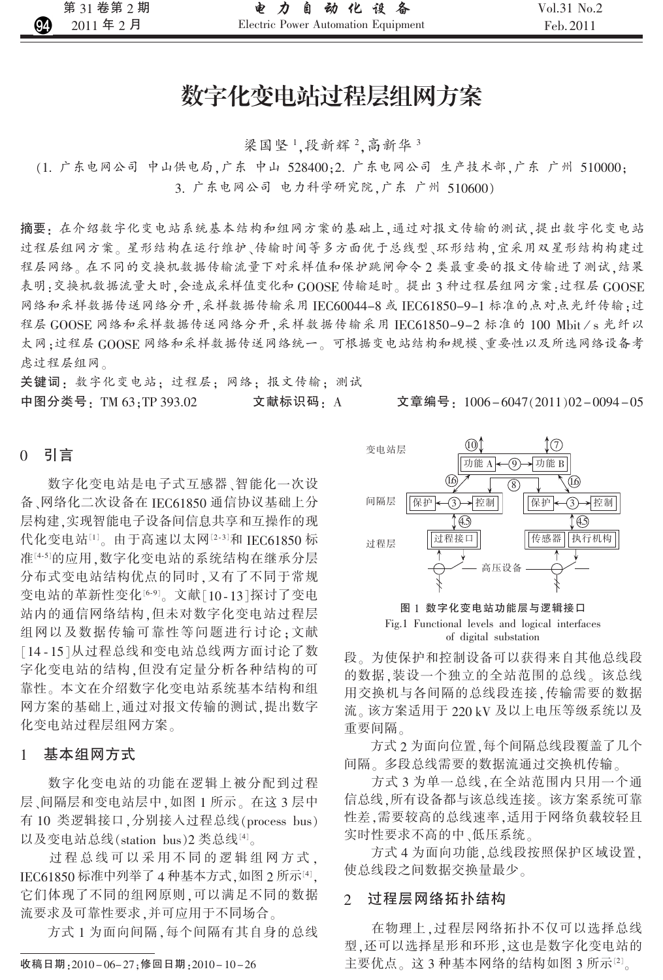# 数字化变电站过程层组网方案

梁国坚1,段新辉2,高新华3

(1. 广东电网公司 中山供电局,广东 中山 528400;2. 广东电网公司 生产技术部,广东 广州 510000; 3. 广东电网公司 电力科学研究院,广东 广州 510600)

摘要: 在介绍数字化变电站系统基本结构和组网方案的基础上,通过对报文传输的测试,提出数字化变电站 过程层组网方案。星形结构在运行维护、传输时间等多方面优于总线型、环形结构,宜采用双星形结构构建过 程层网络。在不同的交换机数据传输流量下对采样值和保护跳闸命令2类最重要的报文传输进了测试,结果 表明:交换机数据流量大时,会造成采样值变化和 GOOSE 传输延时。提出3种过程层组网方案:过程层 GOOSE 网络和采样数据传送网络分开,采样数据传输采用IEC60044-8 或 IEC61850-9-1 标准的点对点光纤传输:过 程层 GOOSE 网络和采样数据传送网络分开,采样数据传输采用 IEC61850-9-2 标准的 100 Mbit/s 光纤以 太网:过程层 GOOSE 网络和采样数据传送网络统一。可根据变电站结构和规模、重要性以及所选网络设备考 虑过程层组网。

关键词: 数字化变电站: 过程层: 网络: 报文传输: 测试 中图分类号:TM 63:TP 393.02 文献标识码· A

文章编号: 1006-6047(2011)02-0094-05

#### $\Omega$ 引言

数字化变电站是电子式互感器、智能化一次设 备、网络化二次设备在 IEC61850 通信协议基础上分 层构建,实现智能电子设备间信息共享和互操作的现 代化变电站[1]。由于高速以太网[2-3]和 IEC61850 标 准[4-5]的应用,数字化变电站的系统结构在继承分层 分布式变电站结构优点的同时,又有了不同于常规 变电站的革新性变化[6-9]。文献[10-13]探讨了变电 站内的通信网络结构,但未对数字化变电站过程层 组网以及数据传输可靠性等问题进行讨论:文献 [14-15]从过程总线和变电站总线两方面讨论了数 字化变电站的结构,但没有定量分析各种结构的可 靠性。本文在介绍数字化变电站系统基本结构和组 网方案的基础上,通过对报文传输的测试,提出数字 化变电站过程层组网方案。

#### 基本组网方式  $\mathbf{1}$

数字化变电站的功能在逻辑上被分配到过程 层、间隔层和变电站层中,如图 1 所示。在这 3 层中 有 10 类逻辑接口,分别接入过程总线(process bus) 以及变电站总线(station bus)2类总线[4]。

过程总线可以采用不同的逻辑组网方式, IEC61850 标准中列举了 4 种基本方式, 如图 2 所示[4], 它们体现了不同的组网原则,可以满足不同的数据 流要求及可靠性要求,并可应用于不同场合。

方式1为面向间隔,每个间隔有其自身的总线

收稿日期: 2010-06-27; 修回日期: 2010-10-26



图 1 数字化变电站功能层与逻辑接口 Fig.1 Functional levels and logical interfaces of digital substation

段。为使保护和控制设备可以获得来自其他总线段 的数据,装设一个独立的全站范围的总线。该总线 用交换机与各间隔的总线段连接,传输需要的数据 流。该方案适用于 220 kV 及以上电压等级系统以及 重要间隔。

方式2为面向位置,每个间隔总线段覆盖了几个 间隔。多段总线需要的数据流通过交换机传输。

方式3为单一总线,在全站范围内只用一个通 信总线,所有设备都与该总线连接。该方案系统可靠 性差,需要较高的总线速率,适用于网络负载较轻且 实时性要求不高的中 ,低压系统 。

方式4为面向功能,总线段按照保护区域设置, 使总线段之间数据交换量最少。

#### 过程层网络拓扑结构  $\overline{2}$

在物理上,过程层网络拓扑不仅可以选择总线 型,还可以选择星形和环形,这也是数字化变电站的 主要优点。这 3 种基本网络的结构如图 3 所示凶。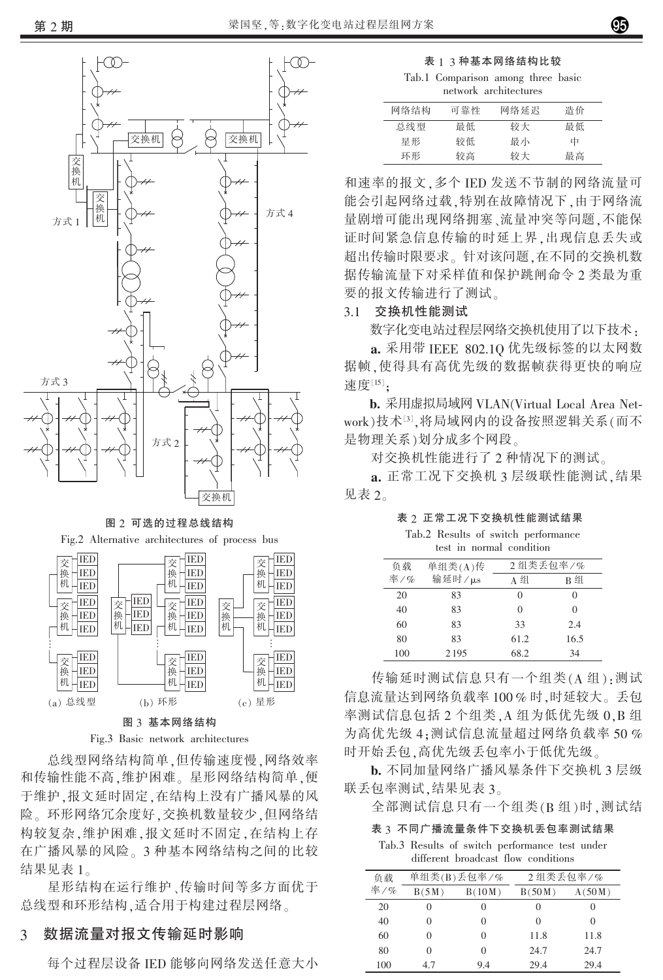

图 2 可选的过程总线结构

Fig.2 Alternative architectures of process bus



Fig.3 Basic network architectures

总线型网络结构简单 但传输速度慢 网络效率 和传输性能不高,维护困难。星形网络结构简单,便 于维护,报文延时固定,在结构上没有广播风暴的风 险。环形网络冗余度好,交换机数量较少,但网络结 构较复杂,维护困难,报文延时不固定,在结构上存 在广播风暴的风险。3 种基本网络结构之间的比较 结果见表 1。

星形结构在运行维护、传输时间等多方面优于 总线型和环形结构,适合用于构建过程层网络。

#### 数据流量对报文传输延时影响 3

每个过程层设备 IED 能够向网络发送任意大小

表 1 3 种基本网络结构比较

Tab.1 Comparison among three basic

| network architectures |
|-----------------------|
|                       |

| 网络结构 | 可靠性 | 网络延迟 | 浩价 |  |
|------|-----|------|----|--|
| 总线型  | 最低  | 较大   | 最低 |  |
| 星形   | 较低  | 最小   | 中  |  |
| 环形   | 较高  | 较大   | 最高 |  |

和速率的报文,多个 IED 发送不节制的网络流量可 能会引起网络过载,特别在故障情况下,由于网络流 量剧增可能出现网络拥塞、流量冲突等问题,不能保 证时间紧急信息传输的时延上界,出现信息丢失或 超出传输时限要求。针对该问题,在不同的交换机数 据传输流量下对采样值和保护跳闸命令2类最为重 要的报文传输进行了测试。

#### 交换机性能测试  $3.1$

数字化变电站过程层网络交换机使用了以下技术:

a. 采用带 IEEE 802.10 优先级标签的以太网数 据帧,使得具有高优先级的数据帧获得更快的响应 速度[15]:

b. 采用虚拟局域网 VLAN(Virtual Local Area Network)技术[3],将局域网内的设备按照逻辑关系(而不 是物理关系)划分成多个网段。

对交换机性能进行了2种情况下的测试。

a. 正常工况下交换机 3 层级联性能测试, 结果 见表 2。

表 2 正常工况下交换机性能测试结果

Tab.2 Results of switch performance test in normal condition

| 负载  | 单组类(A)传 | 2组类丢句率/% |      |
|-----|---------|----------|------|
| 率/% | 输延时/µs  | A组       | B组   |
| 20  | 83      |          | 0    |
| 40  | 83      |          | 0    |
| 60  | 83      | 33       | 2.4  |
| 80  | 83      | 61.2     | 16.5 |
| 100 | 2195    | 68.2     | 34   |

传输延时测试信息只有一个组类(A组):测试 信息流量达到网络负载率100%时,时延较大。丢包 率测试信息包括 2 个组类, A 组为低优先级 0, B 组 为高优先级 4: 测试信息流量超过网络负载率 50 % 时开始丢包,高优先级丢包率小于低优先级。

b. 不同加量网络广播风暴条件下交换机 3 层级 联丢包率测试,结果见表 3。

全部测试信息只有一个组类(B组)时,测试结

表 3 不同广播流量条件下交换机丢包率测试结果

Tab.3 Results of switch performance test under different broadcast flow conditions

| 负载  | 单组类(B)丢包率/%       |                   | 2组类丢包率/%          |        |
|-----|-------------------|-------------------|-------------------|--------|
| 率/% | B(5M)             | B(10M)            | B(50M)            | A(50M) |
| 20  | $\mathbf{\Omega}$ | $\mathbf{\Omega}$ | $\mathbf{\Omega}$ |        |
| 40  | 0                 | 0                 | 0                 |        |
| 60  | 0                 | 0                 | 11.8              | 11.8   |
| 80  | 0                 | 0                 | 24.7              | 24.7   |
| 100 | 4.7               | 9.4               | 29.4              | 29.4   |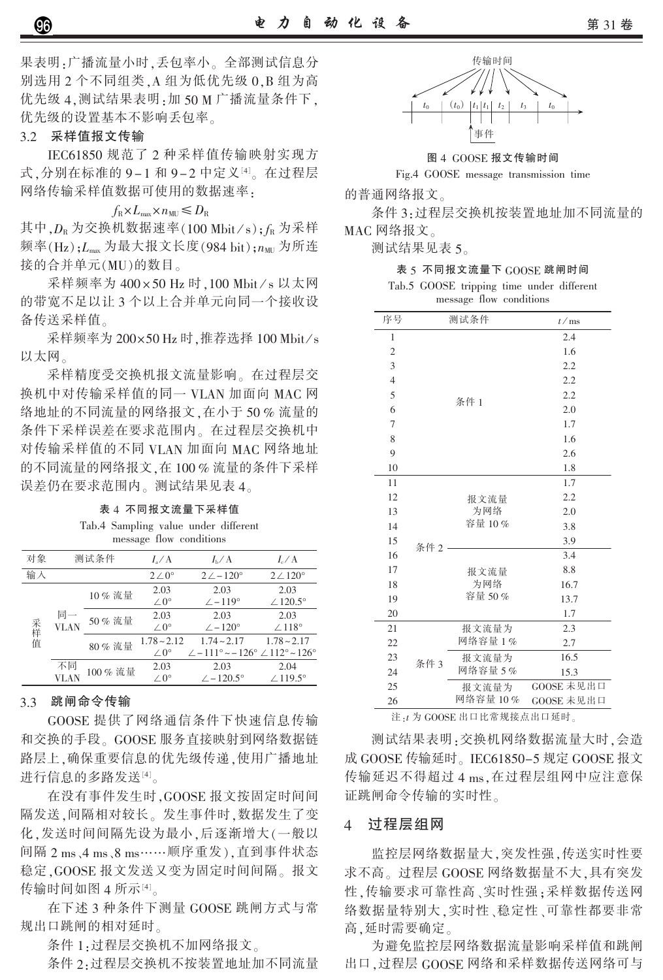果表明:广播流量小时,丢包率小。全部测试信息分 别选用 2 个不同组类, A 组为低优先级 0, B 组为高 优先级 4, 测试结果表明: 加 50 M 广播流量条件下, 优先级的设置基本不影响丢包率。

### 3.2 采样值报文传输

IEC61850 规范了 2 种采样值传输映射实现方 式,分别在标准的 9-1 和 9-2 中定义[4]。在过程层 网络传输采样值数据可使用的数据速率:

$$
f_{\rm R} \times L_{\rm max} \times n_{\rm MU} \leq D_{\rm R}
$$

其中, $D_{\rm R}$  为交换机数据速率(100 Mbit/s); $f_{\rm R}$  为采样 频率(Hz): L<sub>max</sub> 为最大报文长度(984 bit): n<sub>MII</sub> 为所连 接的合并单元(MU)的数目。

采样频率为 400×50 Hz 时, 100 Mbit/s 以太网 的带宽不足以让3个以上合并单元向同一个接收设 备传送采样值。

采样频率为 200×50 Hz 时, 推荐选择 100 Mbit/s 以太网。

采样精度受交换机报文流量影响。在过程层交 换机中对传输采样值的同一 VLAN 加面向 MAC 网 络地址的不同流量的网络报文,在小于50%流量的 条件下采样误差在要求范围内。在过程层交换机中 对传输采样值的不同 VLAN 加面向 MAC 网络地址 的不同流量的网络报文,在100%流量的条件下采样 误差仍在要求范围内。测试结果见表 4。

表 4 不同报文流量下采样值 Tab.4 Sampling value under different message flow conditions

| 对象                                     | 测试条件   |                 | $I_{\circ}$ / A     | $I_{\rm b}/A$                                                               | $I_c/A$         |
|----------------------------------------|--------|-----------------|---------------------|-----------------------------------------------------------------------------|-----------------|
| 输入                                     |        |                 | $2\angle 0^{\circ}$ | $2\angle -120^\circ$                                                        | $2/120^{\circ}$ |
| 同一<br>采样值<br><b>VLAN</b><br>不同<br>VLAN | 10% 流量 | 2.03            | 2.03                | 2.03                                                                        |                 |
|                                        |        |                 | $\angle 0^{\circ}$  | $\angle -119^\circ$                                                         | $\angle$ 120.5° |
|                                        |        | 50% 流量<br>80%流量 | 2.03                | 2.03                                                                        | 2.03            |
|                                        |        |                 | $\angle 0^{\circ}$  | $\angle -120^\circ$                                                         | $/118^\circ$    |
|                                        |        |                 | $1.78 - 2.12$       | $1.74 - 2.17$                                                               | $1.78 - 2.17$   |
|                                        |        |                 | $\angle 0^{\circ}$  | $\angle -111^{\circ} \sim -126^{\circ} \angle 112^{\circ} \sim 126^{\circ}$ |                 |
|                                        |        | 100% 流量         | 2.03                | 2.03                                                                        | 2.04            |
|                                        |        |                 | $\angle 0^{\circ}$  | $\angle$ -120.5°                                                            | $\angle$ 119.5° |

# 3.3 跳闸命令传输

GOOSE 提供了网络通信条件下快速信息传输 和交换的手段。GOOSE 服务直接映射到网络数据链 路层上,确保重要信息的优先级传递,使用广播地址 进行信息的多路发送[4]。

在没有事件发生时, GOOSE 报文按固定时间间 隔发送,间隔相对较长。发生事件时,数据发生了变 化,发送时间间隔先设为最小,后逐渐增大(一般以 间隔 2 ms、4 ms、8 ms……顺序重发), 直到事件状态 稳定, GOOSE 报文发送又变为固定时间间隔。报文 传输时间如图 4 所示[4]。

在下述3种条件下测量 GOOSE 跳闸方式与常 规出口跳闸的相对延时。

条件 1:过程层交换机不加网络报文。

条件 2. 过程层交换机不按装置地址加不同流量



图 4 GOOSE 报文传输时间

Fig.4 GOOSE message transmission time

的普通网络报文。

条件3:过程层交换机按装置地址加不同流量的 MAC 网络报文。

测试结果见表 5。

表 5 不同报文流量下 GOOSE 跳闸时间

Tab.5 GOOSE tripping time under different message flow conditions

| 序号             | 测试条件 |               | t/ms       |  |
|----------------|------|---------------|------------|--|
| 1              |      |               | 2.4        |  |
| $\overline{2}$ |      |               | 1.6        |  |
| 3              |      |               | 2.2        |  |
| $\overline{4}$ |      |               | 2.2        |  |
| 5              |      | 条件 1          | 2.2        |  |
| 6              |      |               | 2.0        |  |
| 7              |      |               | 1.7        |  |
| 8              |      |               | 1.6        |  |
| 9              |      |               | 2.6        |  |
| 10             |      |               | 1.8        |  |
| 11             |      |               | 1.7        |  |
| 12             |      | 报文流量          | 2.2        |  |
| 13             |      | 为网络<br>容量 10% | 2.0        |  |
| 14             |      |               | 3.8        |  |
| 15             | 条件 2 |               | 3.9        |  |
| 16             |      |               | 3.4        |  |
| 17             |      | 报文流量          | 8.8        |  |
| 18             |      | 为网络           | 16.7       |  |
| 19             |      | 容量 50%        | 13.7       |  |
| 20             |      |               | 1.7        |  |
| 21             |      | 报文流量为         | 2.3        |  |
| 22             |      | 网络容量1%        | 2.7        |  |
| 23             | 条件3  | 报文流量为         | 16.5       |  |
| 24             |      | 网络容量 5%       | 15.3       |  |
| 25             |      | 报文流量为         | GOOSE 未见出口 |  |
| 26             |      | 网络容量 10 %     | GOOSE 未见出口 |  |

注: t 为 GOOSE 出口比常规接点出口延时。

测试结果表明:交换机网络数据流量大时,会造 成 GOOSE 传输延时。IEC61850-5 规定 GOOSE 报文 传输延迟不得超过 4 ms. 在过程层组网中应注意保 证跳闸命令传输的实时性。

#### 过程层组网  $\overline{4}$

监控层网络数据量大,突发性强,传送实时性要 求不高。过程层 GOOSE 网络数据量不大,具有突发 性,传输要求可靠性高、实时性强;采样数据传送网 络数据量特别大,实时性、稳定性、可靠性都要非常 高.延时需要确定。

为避免监控层网络数据流量影响采样值和跳闸 出口,过程层 GOOSE 网络和采样数据传送网络可与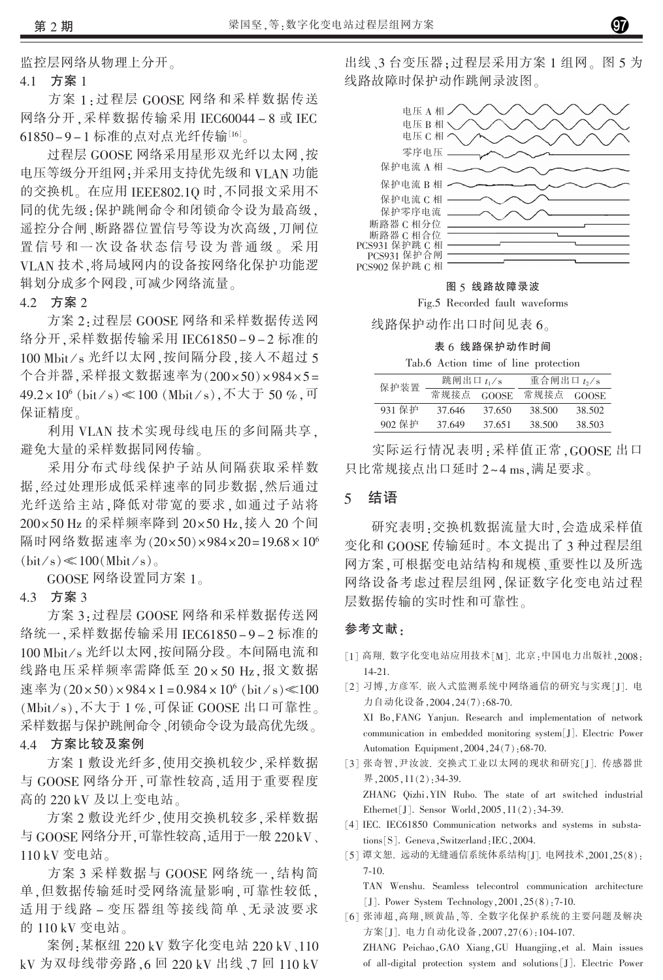监控层网络从物理上分开。

#### 4 1 方案 1

方案 1:过程层 GOOSE 网络和采样数据传送 网络分开,采样数据传输采用 IEC60044-8 或 IEC 61850-9-1 标准的点对点光纤传输[16]。

过程层 GOOSE 网络采用星形双光纤以太网,按 电压等级分开组网:并采用支持优先级和 VLAN 功能 的交换机。在应用 IEEE802.10 时,不同报文采用不 同的优先级:保护跳闸命令和闭锁命令设为最高级, 遥控分合闸、断路器位置信号等设为次高级,刀闸位 置信号和一次设备状态信号设为普通级。采用 VLAN技术,将局域网内的设备按网络化保护功能逻 辑划分成多个网段,可减少网络流量。

# 4.2 方案 2

方案 2: 过程层 GOOSE 网络和采样数据传送网 络分开,采样数据传输采用 IEC61850-9-2 标准的 100 Mbit/s 光纤以太网, 按间隔分段, 接入不超过 5 个合并器,采样报文数据速率为(200×50)×984×5= 49.2×10<sup>6</sup> (bit⁄s) ≪100 (Mbit⁄s), 不大于 50 %, 可 保证精度。

利用 VLAN 技术实现母线电压的多间隔共享. 避免大量的采样数据同网传输。

采用分布式母线保护子站从间隔获取采样数 据,经过处理形成低采样速率的同步数据,然后通过 光纤送给主站,降低对带宽的要求,如通过子站将 200×50 Hz 的采样频率降到 20×50 Hz,接入 20 个间 隔时网络数据速率为(20×50)×984×20=19.68×10<sup>6</sup>  $(bit/s) \ll 100(Mbit/s)$ 

GOOSE 网络设置同方案  $1_{\circ}$ 

#### 4.3 方案 3

方案 3:过程层 GOOSE 网络和采样数据传送网 络统一,采样数据传输采用 IEC61850-9-2 标准的 100 Mbit/s 光纤以太网, 按间隔分段。本间隔电流和 线路电压采样频率需降低至 20×50 Hz,报文数据 速率为 $(20 \times 50) \times 984 \times 1 = 0.984 \times 10^6$  (bit/s) < 100  $(Mbit/s)$ , 不大于1%, 可保证 GOOSE 出口可靠性。 采样数据与保护跳闸命令、闭锁命令设为最高优先级。

### 4.4 方案比较及案例

方案1 敷设光纤多,使用交换机较少,采样数据 与 GOOSE 网络分开,可靠性较高,适用于重要程度 高的 220 kV 及以上变电站。

方案2 敷设光纤少,使用交换机较多,采样数据 与 GOOSE 网络分开,可靠性较高,适用于一般 220kV、 110 kV 变电站。

方案 3 采样数据与 GOOSE 网络统一,结构简 单,但数据传输延时受网络流量影响,可靠性较低, 适用于线路 - 变压器组等接线简单、无录波要求 的 110 kV 变电站。

案例:某枢纽 220 kV 数字化变电站 220 kV、110 kV 为双母线带旁路, 6回 220 kV 出线、7回 110 kV

出线、3台变压器:过程层采用方案1组网。图5为 线路故障时保护动作跳闸录波图。



图 5 线路故障录波

Fig.5 Recorded fault waveforms

线路保护动作出口时间见表 6。

表 6 线路保护动作时间 Tab.6 Action time of line protection

| 保护装置   | 跳闸出口 $t_1/s$ |        | 重合闸出口 t <sub>2</sub> /s |              |
|--------|--------------|--------|-------------------------|--------------|
|        | 常规接点 GOOSE   |        | 常规接点                    | <b>GOOSE</b> |
| 931 保护 | 37.646       | 37.650 | 38.500                  | 38.502       |
| 902 保护 | 37.649       | 37.651 | 38.500                  | 38.503       |

实际运行情况表明:采样值正常, GOOSE 出口 只比常规接点出口延时 2~4 ms,满足要求。

#### $\overline{5}$ 结语

研究表明:交换机数据流量大时,会造成采样值 变化和 GOOSE 传输延时。本文提出了3种过程层组 网方案.可根据变电站结构和规模、重要性以及所选 网络设备考虑过程层组网,保证数字化变电站过程 层数据传输的实时性和可靠性。

### 参考文献:

- [1] 高翔. 数字化变电站应用技术[M]. 北京:中国电力出版社,2008:  $14 - 21$ .
- [2] 习博,方彦军. 嵌入式监测系统中网络通信的研究与实现[J]. 电 力自动化设备, 2004, 24(7): 68-70. XI Bo, FANG Yanjun. Research and implementation of network communication in embedded monitoring system[J]. Electric Power Automation Equipment, 2004, 24(7): 68-70.
- [3] 张奇智, 尹汝波. 交换式工业以太网的现状和研究[J]. 传感器世 界, 2005, 11(2): 34-39. ZHANG Qizhi, YIN Rubo. The state of art switched industrial Ethernet [J]. Sensor World, 2005, 11(2): 34-39.
- [4] IEC. IEC61850 Communication networks and systems in substations[S]. Geneva, Switzerland: IEC, 2004.
- [5] 谭文恕. 远动的无缝通信系统体系结构[J]. 电网技术, 2001, 25(8):  $7-10.$

TAN Wenshu. Seamless telecontrol communication architecture [J]. Power System Technology,  $2001$ ,  $25(8)$ ;  $7-10$ .

[6] 张沛超,高翔,顾黄晶,等. 全数字化保护系统的主要问题及解决 方案[J]. 电力自动化设备, 2007, 27(6): 104-107.

ZHANG Peichao, GAO Xiang, GU Huangjing, et al. Main issues of all-digital protection system and solutions [J]. Electric Power